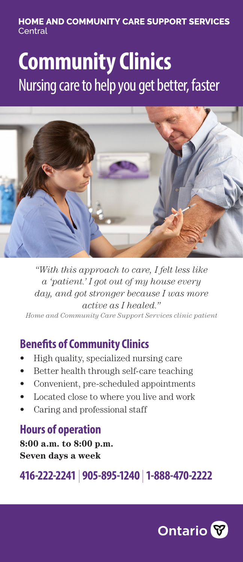### **HOME AND COMMUNITY CARE SUPPORT SERVICES** Central

# **Community Clinics** Nursing care to help you get better, faster



*"With this approach to care, I felt less like a 'patient.' I got out of my house every day, and got stronger because I was more active as I healed." Home and Community Care Support Services clinic patient*

## **Benefits of Community Clinics**

- High quality, specialized nursing care
- Better health through self-care teaching
- Convenient, pre-scheduled appointments
- Located close to where you live and work
- Caring and professional staff

## **Hours of operation**

**8:00 a.m. to 8:00 p.m. Seven days a week**

**416-222-2241** | **905-895-1240** | **1-888-470-2222**